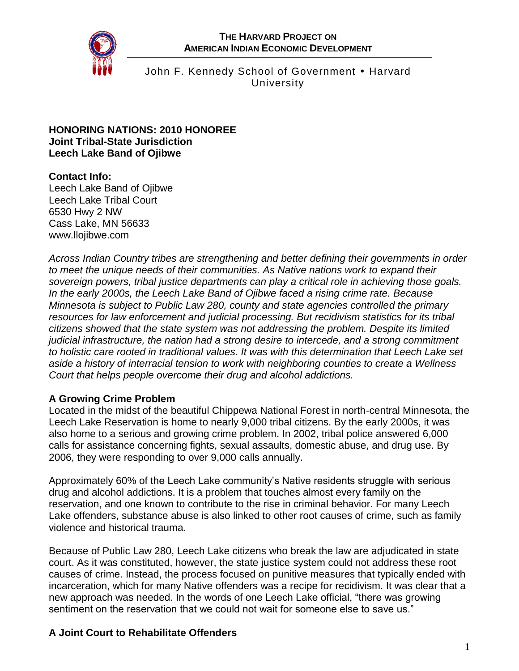**THE HARVARD PROJECT ON AMERICAN INDIAN ECONOMIC DEVELOPMENT**



John F. Kennedy School of Government • Harvard University

#### **HONORING NATIONS: 2010 HONOREE Joint Tribal-State Jurisdiction Leech Lake Band of Ojibwe**

# **Contact Info:**

Leech Lake Band of Ojibwe Leech Lake Tribal Court 6530 Hwy 2 NW Cass Lake, MN 56633 www.llojibwe.com

*Across Indian Country tribes are strengthening and better defining their governments in order to meet the unique needs of their communities. As Native nations work to expand their sovereign powers, tribal justice departments can play a critical role in achieving those goals. In the early 2000s, the Leech Lake Band of Ojibwe faced a rising crime rate. Because Minnesota is subject to Public Law 280, county and state agencies controlled the primary resources for law enforcement and judicial processing. But recidivism statistics for its tribal citizens showed that the state system was not addressing the problem. Despite its limited judicial infrastructure, the nation had a strong desire to intercede, and a strong commitment to holistic care rooted in traditional values. It was with this determination that Leech Lake set aside a history of interracial tension to work with neighboring counties to create a Wellness Court that helps people overcome their drug and alcohol addictions.*

## **A Growing Crime Problem**

Located in the midst of the beautiful Chippewa National Forest in north-central Minnesota, the Leech Lake Reservation is home to nearly 9,000 tribal citizens. By the early 2000s, it was also home to a serious and growing crime problem. In 2002, tribal police answered 6,000 calls for assistance concerning fights, sexual assaults, domestic abuse, and drug use. By 2006, they were responding to over 9,000 calls annually.

Approximately 60% of the Leech Lake community's Native residents struggle with serious drug and alcohol addictions. It is a problem that touches almost every family on the reservation, and one known to contribute to the rise in criminal behavior. For many Leech Lake offenders, substance abuse is also linked to other root causes of crime, such as family violence and historical trauma.

Because of Public Law 280, Leech Lake citizens who break the law are adjudicated in state court. As it was constituted, however, the state justice system could not address these root causes of crime. Instead, the process focused on punitive measures that typically ended with incarceration, which for many Native offenders was a recipe for recidivism. It was clear that a new approach was needed. In the words of one Leech Lake official, "there was growing sentiment on the reservation that we could not wait for someone else to save us."

# **A Joint Court to Rehabilitate Offenders**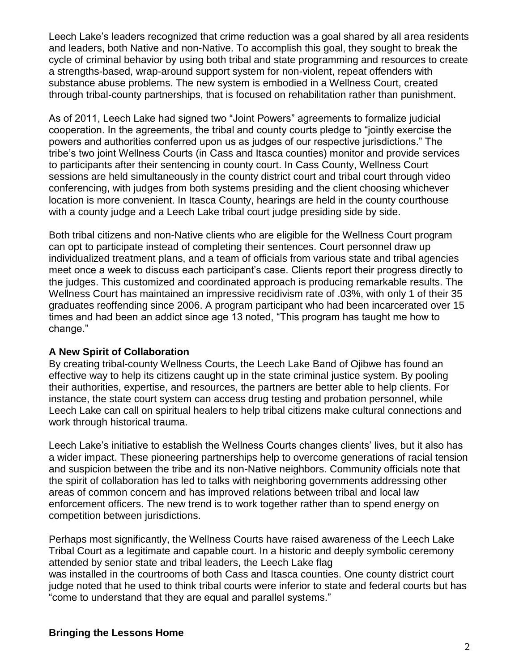Leech Lake's leaders recognized that crime reduction was a goal shared by all area residents and leaders, both Native and non-Native. To accomplish this goal, they sought to break the cycle of criminal behavior by using both tribal and state programming and resources to create a strengths-based, wrap-around support system for non-violent, repeat offenders with substance abuse problems. The new system is embodied in a Wellness Court, created through tribal-county partnerships, that is focused on rehabilitation rather than punishment.

As of 2011, Leech Lake had signed two "Joint Powers" agreements to formalize judicial cooperation. In the agreements, the tribal and county courts pledge to "jointly exercise the powers and authorities conferred upon us as judges of our respective jurisdictions." The tribe's two joint Wellness Courts (in Cass and Itasca counties) monitor and provide services to participants after their sentencing in county court. In Cass County, Wellness Court sessions are held simultaneously in the county district court and tribal court through video conferencing, with judges from both systems presiding and the client choosing whichever location is more convenient. In Itasca County, hearings are held in the county courthouse with a county judge and a Leech Lake tribal court judge presiding side by side.

Both tribal citizens and non-Native clients who are eligible for the Wellness Court program can opt to participate instead of completing their sentences. Court personnel draw up individualized treatment plans, and a team of officials from various state and tribal agencies meet once a week to discuss each participant's case. Clients report their progress directly to the judges. This customized and coordinated approach is producing remarkable results. The Wellness Court has maintained an impressive recidivism rate of .03%, with only 1 of their 35 graduates reoffending since 2006. A program participant who had been incarcerated over 15 times and had been an addict since age 13 noted, "This program has taught me how to change."

### **A New Spirit of Collaboration**

By creating tribal-county Wellness Courts, the Leech Lake Band of Ojibwe has found an effective way to help its citizens caught up in the state criminal justice system. By pooling their authorities, expertise, and resources, the partners are better able to help clients. For instance, the state court system can access drug testing and probation personnel, while Leech Lake can call on spiritual healers to help tribal citizens make cultural connections and work through historical trauma.

Leech Lake's initiative to establish the Wellness Courts changes clients' lives, but it also has a wider impact. These pioneering partnerships help to overcome generations of racial tension and suspicion between the tribe and its non-Native neighbors. Community officials note that the spirit of collaboration has led to talks with neighboring governments addressing other areas of common concern and has improved relations between tribal and local law enforcement officers. The new trend is to work together rather than to spend energy on competition between jurisdictions.

Perhaps most significantly, the Wellness Courts have raised awareness of the Leech Lake Tribal Court as a legitimate and capable court. In a historic and deeply symbolic ceremony attended by senior state and tribal leaders, the Leech Lake flag was installed in the courtrooms of both Cass and Itasca counties. One county district court judge noted that he used to think tribal courts were inferior to state and federal courts but has "come to understand that they are equal and parallel systems."